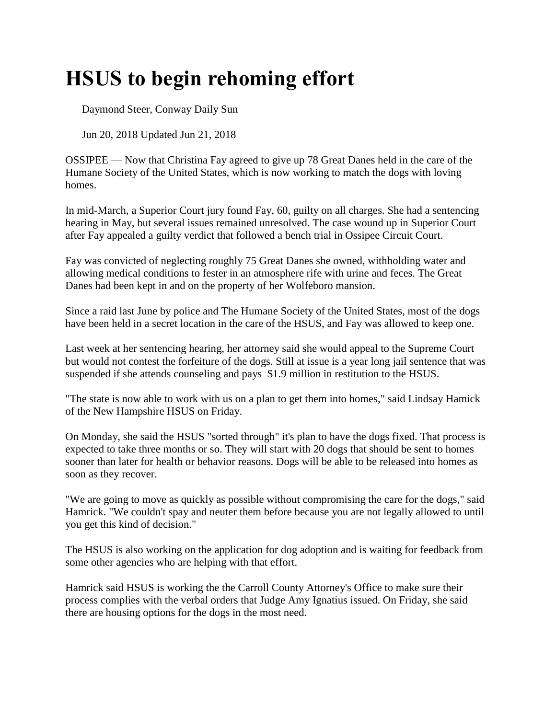## **HSUS to begin rehoming effort**

Daymond Steer, Conway Daily Sun

Jun 20, 2018 Updated Jun 21, 2018

OSSIPEE — Now that Christina Fay agreed to give up 78 Great Danes held in the care of the Humane Society of the United States, which is now working to match the dogs with loving homes.

In mid-March, a Superior Court jury found Fay, 60, guilty on all charges. She had a sentencing hearing in May, but several issues remained unresolved. The case wound up in Superior Court after Fay appealed a guilty verdict that followed a bench trial in Ossipee Circuit Court.

Fay was convicted of neglecting roughly 75 Great Danes she owned, withholding water and allowing medical conditions to fester in an atmosphere rife with urine and feces. The Great Danes had been kept in and on the property of her Wolfeboro mansion.

Since a raid last June by police and The Humane Society of the United States, most of the dogs have been held in a secret location in the care of the HSUS, and Fay was allowed to keep one.

Last week at her sentencing hearing, her attorney said she would appeal to the Supreme Court but would not contest the forfeiture of the dogs. Still at issue is a year long jail sentence that was suspended if she attends counseling and pays \$1.9 million in restitution to the HSUS.

"The state is now able to work with us on a plan to get them into homes," said Lindsay Hamick of the New Hampshire HSUS on Friday.

On Monday, she said the HSUS "sorted through" it's plan to have the dogs fixed. That process is expected to take three months or so. They will start with 20 dogs that should be sent to homes sooner than later for health or behavior reasons. Dogs will be able to be released into homes as soon as they recover.

"We are going to move as quickly as possible without compromising the care for the dogs," said Hamrick. "We couldn't spay and neuter them before because you are not legally allowed to until you get this kind of decision."

The HSUS is also working on the application for dog adoption and is waiting for feedback from some other agencies who are helping with that effort.

Hamrick said HSUS is working the the Carroll County Attorney's Office to make sure their process complies with the verbal orders that Judge Amy Ignatius issued. On Friday, she said there are housing options for the dogs in the most need.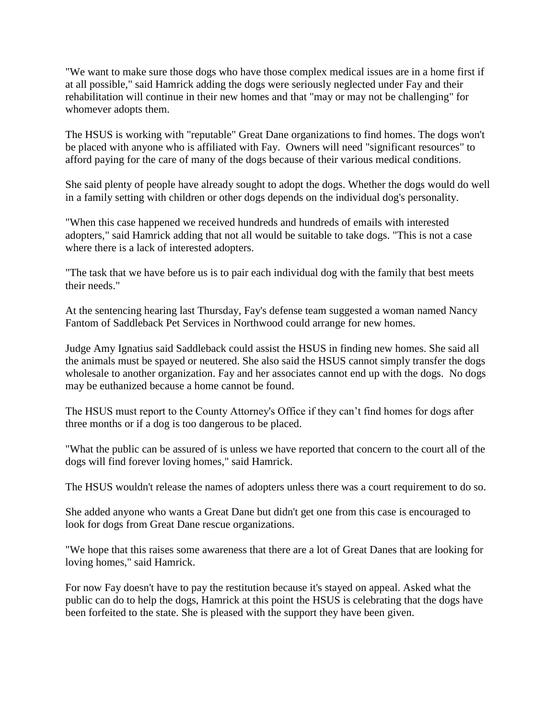"We want to make sure those dogs who have those complex medical issues are in a home first if at all possible," said Hamrick adding the dogs were seriously neglected under Fay and their rehabilitation will continue in their new homes and that "may or may not be challenging" for whomever adopts them.

The HSUS is working with "reputable" Great Dane organizations to find homes. The dogs won't be placed with anyone who is affiliated with Fay. Owners will need "significant resources" to afford paying for the care of many of the dogs because of their various medical conditions.

She said plenty of people have already sought to adopt the dogs. Whether the dogs would do well in a family setting with children or other dogs depends on the individual dog's personality.

"When this case happened we received hundreds and hundreds of emails with interested adopters," said Hamrick adding that not all would be suitable to take dogs. "This is not a case where there is a lack of interested adopters.

"The task that we have before us is to pair each individual dog with the family that best meets their needs."

At the sentencing hearing last Thursday, Fay's defense team suggested a woman named Nancy Fantom of Saddleback Pet Services in Northwood could arrange for new homes.

Judge Amy Ignatius said Saddleback could assist the HSUS in finding new homes. She said all the animals must be spayed or neutered. She also said the HSUS cannot simply transfer the dogs wholesale to another organization. Fay and her associates cannot end up with the dogs. No dogs may be euthanized because a home cannot be found.

The HSUS must report to the County Attorney's Office if they can't find homes for dogs after three months or if a dog is too dangerous to be placed.

"What the public can be assured of is unless we have reported that concern to the court all of the dogs will find forever loving homes," said Hamrick.

The HSUS wouldn't release the names of adopters unless there was a court requirement to do so.

She added anyone who wants a Great Dane but didn't get one from this case is encouraged to look for dogs from Great Dane rescue organizations.

"We hope that this raises some awareness that there are a lot of Great Danes that are looking for loving homes," said Hamrick.

For now Fay doesn't have to pay the restitution because it's stayed on appeal. Asked what the public can do to help the dogs, Hamrick at this point the HSUS is celebrating that the dogs have been forfeited to the state. She is pleased with the support they have been given.